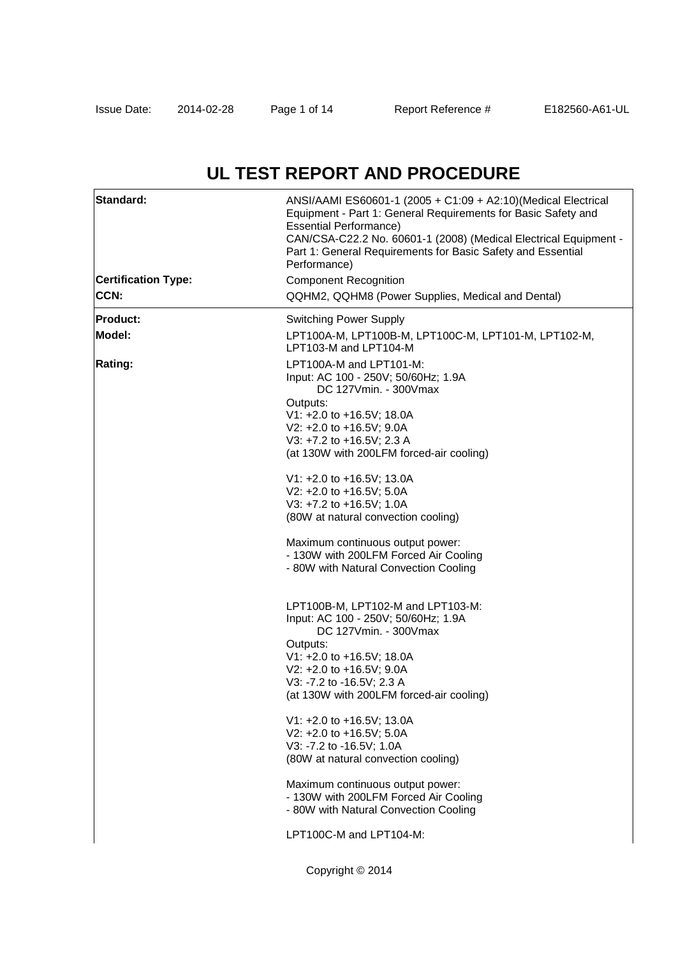# **UL TEST REPORT AND PROCEDURE**

| Performance)<br><b>Certification Type:</b><br><b>Component Recognition</b><br>CCN:<br>QQHM2, QQHM8 (Power Supplies, Medical and Dental)<br><b>Product:</b><br><b>Switching Power Supply</b><br>Model:<br>LPT100A-M, LPT100B-M, LPT100C-M, LPT101-M, LPT102-M,<br>LPT103-M and LPT104-M<br>Rating:<br>LPT100A-M and LPT101-M:<br>Input: AC 100 - 250V; 50/60Hz; 1.9A<br>DC 127Vmin. - 300Vmax<br>Outputs:<br>V1: +2.0 to +16.5V; 18.0A<br>V2: +2.0 to +16.5V; 9.0A<br>V3: +7.2 to +16.5V; 2.3 A<br>(at 130W with 200LFM forced-air cooling)<br>V1: +2.0 to +16.5V; 13.0A<br>V2: +2.0 to +16.5V; 5.0A<br>V3: +7.2 to +16.5V; 1.0A<br>(80W at natural convection cooling)<br>Maximum continuous output power:<br>- 130W with 200LFM Forced Air Cooling<br>- 80W with Natural Convection Cooling<br>LPT100B-M, LPT102-M and LPT103-M:<br>Input: AC 100 - 250V; 50/60Hz; 1.9A<br>DC 127Vmin. - 300Vmax<br>Outputs:<br>V1: +2.0 to +16.5V; 18.0A<br>V2: +2.0 to +16.5V; 9.0A<br>V3: -7.2 to -16.5V; 2.3 A<br>(at 130W with 200LFM forced-air cooling)<br>V1: +2.0 to +16.5V; 13.0A<br>V2: +2.0 to +16.5V; 5.0A<br>V3: -7.2 to -16.5V; 1.0A<br>(80W at natural convection cooling)<br>Maximum continuous output power:<br>- 130W with 200LFM Forced Air Cooling<br>- 80W with Natural Convection Cooling<br>LPT100C-M and LPT104-M: | Standard: | ANSI/AAMI ES60601-1 (2005 + C1:09 + A2:10)(Medical Electrical<br>Equipment - Part 1: General Requirements for Basic Safety and<br><b>Essential Performance)</b><br>CAN/CSA-C22.2 No. 60601-1 (2008) (Medical Electrical Equipment -<br>Part 1: General Requirements for Basic Safety and Essential |  |  |  |  |
|------------------------------------------------------------------------------------------------------------------------------------------------------------------------------------------------------------------------------------------------------------------------------------------------------------------------------------------------------------------------------------------------------------------------------------------------------------------------------------------------------------------------------------------------------------------------------------------------------------------------------------------------------------------------------------------------------------------------------------------------------------------------------------------------------------------------------------------------------------------------------------------------------------------------------------------------------------------------------------------------------------------------------------------------------------------------------------------------------------------------------------------------------------------------------------------------------------------------------------------------------------------------------------------------------------------------------|-----------|----------------------------------------------------------------------------------------------------------------------------------------------------------------------------------------------------------------------------------------------------------------------------------------------------|--|--|--|--|
|                                                                                                                                                                                                                                                                                                                                                                                                                                                                                                                                                                                                                                                                                                                                                                                                                                                                                                                                                                                                                                                                                                                                                                                                                                                                                                                              |           |                                                                                                                                                                                                                                                                                                    |  |  |  |  |
|                                                                                                                                                                                                                                                                                                                                                                                                                                                                                                                                                                                                                                                                                                                                                                                                                                                                                                                                                                                                                                                                                                                                                                                                                                                                                                                              |           |                                                                                                                                                                                                                                                                                                    |  |  |  |  |
|                                                                                                                                                                                                                                                                                                                                                                                                                                                                                                                                                                                                                                                                                                                                                                                                                                                                                                                                                                                                                                                                                                                                                                                                                                                                                                                              |           |                                                                                                                                                                                                                                                                                                    |  |  |  |  |
|                                                                                                                                                                                                                                                                                                                                                                                                                                                                                                                                                                                                                                                                                                                                                                                                                                                                                                                                                                                                                                                                                                                                                                                                                                                                                                                              |           |                                                                                                                                                                                                                                                                                                    |  |  |  |  |
|                                                                                                                                                                                                                                                                                                                                                                                                                                                                                                                                                                                                                                                                                                                                                                                                                                                                                                                                                                                                                                                                                                                                                                                                                                                                                                                              |           |                                                                                                                                                                                                                                                                                                    |  |  |  |  |
|                                                                                                                                                                                                                                                                                                                                                                                                                                                                                                                                                                                                                                                                                                                                                                                                                                                                                                                                                                                                                                                                                                                                                                                                                                                                                                                              |           |                                                                                                                                                                                                                                                                                                    |  |  |  |  |
|                                                                                                                                                                                                                                                                                                                                                                                                                                                                                                                                                                                                                                                                                                                                                                                                                                                                                                                                                                                                                                                                                                                                                                                                                                                                                                                              |           |                                                                                                                                                                                                                                                                                                    |  |  |  |  |
|                                                                                                                                                                                                                                                                                                                                                                                                                                                                                                                                                                                                                                                                                                                                                                                                                                                                                                                                                                                                                                                                                                                                                                                                                                                                                                                              |           |                                                                                                                                                                                                                                                                                                    |  |  |  |  |
|                                                                                                                                                                                                                                                                                                                                                                                                                                                                                                                                                                                                                                                                                                                                                                                                                                                                                                                                                                                                                                                                                                                                                                                                                                                                                                                              |           |                                                                                                                                                                                                                                                                                                    |  |  |  |  |
|                                                                                                                                                                                                                                                                                                                                                                                                                                                                                                                                                                                                                                                                                                                                                                                                                                                                                                                                                                                                                                                                                                                                                                                                                                                                                                                              |           |                                                                                                                                                                                                                                                                                                    |  |  |  |  |
|                                                                                                                                                                                                                                                                                                                                                                                                                                                                                                                                                                                                                                                                                                                                                                                                                                                                                                                                                                                                                                                                                                                                                                                                                                                                                                                              |           |                                                                                                                                                                                                                                                                                                    |  |  |  |  |
|                                                                                                                                                                                                                                                                                                                                                                                                                                                                                                                                                                                                                                                                                                                                                                                                                                                                                                                                                                                                                                                                                                                                                                                                                                                                                                                              |           |                                                                                                                                                                                                                                                                                                    |  |  |  |  |
|                                                                                                                                                                                                                                                                                                                                                                                                                                                                                                                                                                                                                                                                                                                                                                                                                                                                                                                                                                                                                                                                                                                                                                                                                                                                                                                              |           |                                                                                                                                                                                                                                                                                                    |  |  |  |  |
|                                                                                                                                                                                                                                                                                                                                                                                                                                                                                                                                                                                                                                                                                                                                                                                                                                                                                                                                                                                                                                                                                                                                                                                                                                                                                                                              |           |                                                                                                                                                                                                                                                                                                    |  |  |  |  |
|                                                                                                                                                                                                                                                                                                                                                                                                                                                                                                                                                                                                                                                                                                                                                                                                                                                                                                                                                                                                                                                                                                                                                                                                                                                                                                                              |           |                                                                                                                                                                                                                                                                                                    |  |  |  |  |
|                                                                                                                                                                                                                                                                                                                                                                                                                                                                                                                                                                                                                                                                                                                                                                                                                                                                                                                                                                                                                                                                                                                                                                                                                                                                                                                              |           |                                                                                                                                                                                                                                                                                                    |  |  |  |  |
|                                                                                                                                                                                                                                                                                                                                                                                                                                                                                                                                                                                                                                                                                                                                                                                                                                                                                                                                                                                                                                                                                                                                                                                                                                                                                                                              |           |                                                                                                                                                                                                                                                                                                    |  |  |  |  |
|                                                                                                                                                                                                                                                                                                                                                                                                                                                                                                                                                                                                                                                                                                                                                                                                                                                                                                                                                                                                                                                                                                                                                                                                                                                                                                                              |           |                                                                                                                                                                                                                                                                                                    |  |  |  |  |
|                                                                                                                                                                                                                                                                                                                                                                                                                                                                                                                                                                                                                                                                                                                                                                                                                                                                                                                                                                                                                                                                                                                                                                                                                                                                                                                              |           |                                                                                                                                                                                                                                                                                                    |  |  |  |  |
|                                                                                                                                                                                                                                                                                                                                                                                                                                                                                                                                                                                                                                                                                                                                                                                                                                                                                                                                                                                                                                                                                                                                                                                                                                                                                                                              |           |                                                                                                                                                                                                                                                                                                    |  |  |  |  |
|                                                                                                                                                                                                                                                                                                                                                                                                                                                                                                                                                                                                                                                                                                                                                                                                                                                                                                                                                                                                                                                                                                                                                                                                                                                                                                                              |           |                                                                                                                                                                                                                                                                                                    |  |  |  |  |
|                                                                                                                                                                                                                                                                                                                                                                                                                                                                                                                                                                                                                                                                                                                                                                                                                                                                                                                                                                                                                                                                                                                                                                                                                                                                                                                              |           |                                                                                                                                                                                                                                                                                                    |  |  |  |  |
|                                                                                                                                                                                                                                                                                                                                                                                                                                                                                                                                                                                                                                                                                                                                                                                                                                                                                                                                                                                                                                                                                                                                                                                                                                                                                                                              |           |                                                                                                                                                                                                                                                                                                    |  |  |  |  |
|                                                                                                                                                                                                                                                                                                                                                                                                                                                                                                                                                                                                                                                                                                                                                                                                                                                                                                                                                                                                                                                                                                                                                                                                                                                                                                                              |           |                                                                                                                                                                                                                                                                                                    |  |  |  |  |
|                                                                                                                                                                                                                                                                                                                                                                                                                                                                                                                                                                                                                                                                                                                                                                                                                                                                                                                                                                                                                                                                                                                                                                                                                                                                                                                              |           |                                                                                                                                                                                                                                                                                                    |  |  |  |  |
|                                                                                                                                                                                                                                                                                                                                                                                                                                                                                                                                                                                                                                                                                                                                                                                                                                                                                                                                                                                                                                                                                                                                                                                                                                                                                                                              |           |                                                                                                                                                                                                                                                                                                    |  |  |  |  |
|                                                                                                                                                                                                                                                                                                                                                                                                                                                                                                                                                                                                                                                                                                                                                                                                                                                                                                                                                                                                                                                                                                                                                                                                                                                                                                                              |           |                                                                                                                                                                                                                                                                                                    |  |  |  |  |
|                                                                                                                                                                                                                                                                                                                                                                                                                                                                                                                                                                                                                                                                                                                                                                                                                                                                                                                                                                                                                                                                                                                                                                                                                                                                                                                              |           |                                                                                                                                                                                                                                                                                                    |  |  |  |  |
|                                                                                                                                                                                                                                                                                                                                                                                                                                                                                                                                                                                                                                                                                                                                                                                                                                                                                                                                                                                                                                                                                                                                                                                                                                                                                                                              |           |                                                                                                                                                                                                                                                                                                    |  |  |  |  |
|                                                                                                                                                                                                                                                                                                                                                                                                                                                                                                                                                                                                                                                                                                                                                                                                                                                                                                                                                                                                                                                                                                                                                                                                                                                                                                                              |           |                                                                                                                                                                                                                                                                                                    |  |  |  |  |
|                                                                                                                                                                                                                                                                                                                                                                                                                                                                                                                                                                                                                                                                                                                                                                                                                                                                                                                                                                                                                                                                                                                                                                                                                                                                                                                              |           |                                                                                                                                                                                                                                                                                                    |  |  |  |  |
|                                                                                                                                                                                                                                                                                                                                                                                                                                                                                                                                                                                                                                                                                                                                                                                                                                                                                                                                                                                                                                                                                                                                                                                                                                                                                                                              |           | Copyright © 2014                                                                                                                                                                                                                                                                                   |  |  |  |  |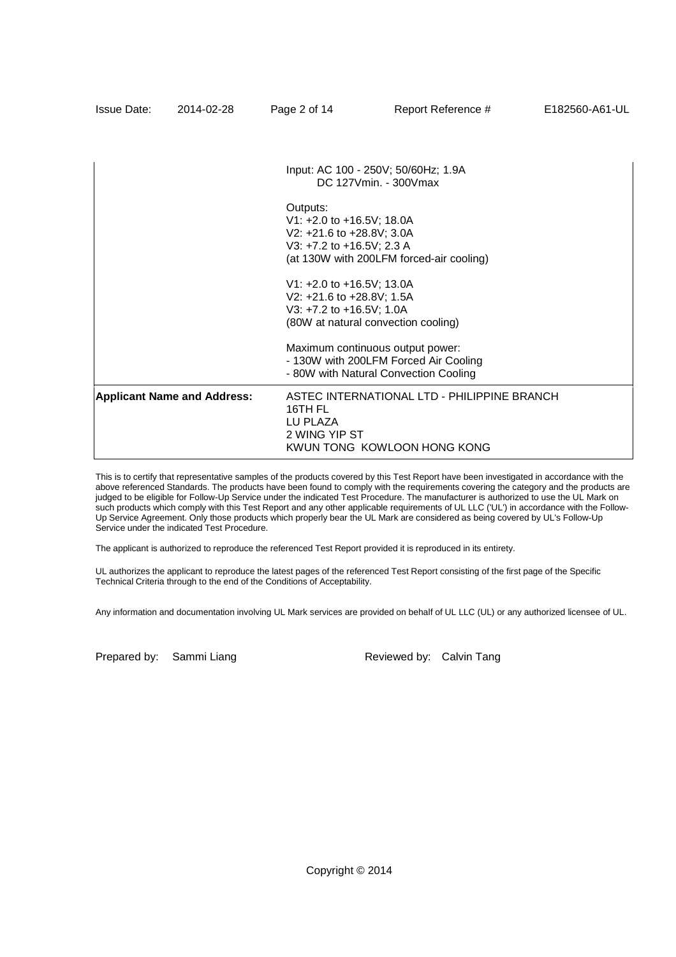| <b>Issue Date:</b> | 2014-02-28                         | Page 2 of 14                                                                                    | Report Reference #                                                                                                 | E182560-A61-UL |
|--------------------|------------------------------------|-------------------------------------------------------------------------------------------------|--------------------------------------------------------------------------------------------------------------------|----------------|
|                    |                                    |                                                                                                 |                                                                                                                    |                |
|                    |                                    |                                                                                                 | Input: AC 100 - 250V; 50/60Hz; 1.9A<br>DC 127Vmin. - 300Vmax                                                       |                |
|                    |                                    | Outputs:<br>V1: +2.0 to +16.5V; 18.0A<br>V2: +21.6 to +28.8V; 3.0A<br>V3: +7.2 to +16.5V; 2.3 A | (at 130W with 200LFM forced-air cooling)                                                                           |                |
|                    |                                    | V1: +2.0 to +16.5V; 13.0A<br>V2: +21.6 to +28.8V; 1.5A<br>V3: +7.2 to +16.5V; 1.0A              | (80W at natural convection cooling)                                                                                |                |
|                    |                                    |                                                                                                 | Maximum continuous output power:<br>- 130W with 200LFM Forced Air Cooling<br>- 80W with Natural Convection Cooling |                |
|                    | <b>Applicant Name and Address:</b> | 16TH FL<br>LU PLAZA<br>2 WING YIP ST                                                            | ASTEC INTERNATIONAL LTD - PHILIPPINE BRANCH<br>KWUN TONG KOWLOON HONG KONG                                         |                |

This is to certify that representative samples of the products covered by this Test Report have been investigated in accordance with the above referenced Standards. The products have been found to comply with the requirements covering the category and the products are judged to be eligible for Follow-Up Service under the indicated Test Procedure. The manufacturer is authorized to use the UL Mark on such products which comply with this Test Report and any other applicable requirements of UL LLC ('UL') in accordance with the Follow-Up Service Agreement. Only those products which properly bear the UL Mark are considered as being covered by UL's Follow-Up Service under the indicated Test Procedure.

The applicant is authorized to reproduce the referenced Test Report provided it is reproduced in its entirety.

UL authorizes the applicant to reproduce the latest pages of the referenced Test Report consisting of the first page of the Specific Technical Criteria through to the end of the Conditions of Acceptability.

Any information and documentation involving UL Mark services are provided on behalf of UL LLC (UL) or any authorized licensee of UL.

Prepared by: Sammi Liang Reviewed by: Calvin Tang

Copyright © 2014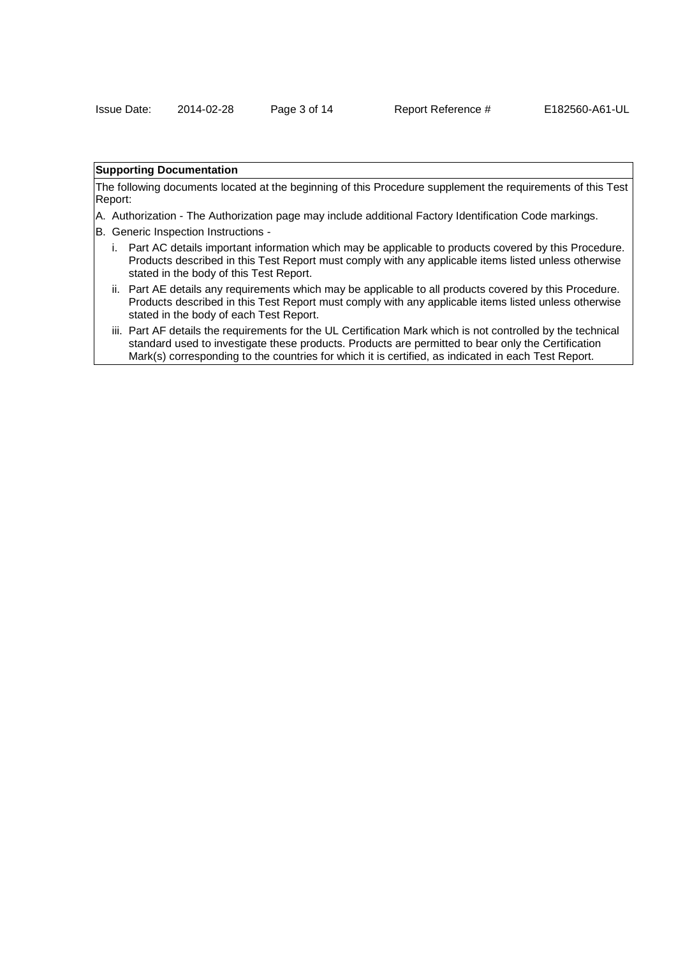### **Supporting Documentation**

The following documents located at the beginning of this Procedure supplement the requirements of this Test Report:

- A. Authorization The Authorization page may include additional Factory Identification Code markings.
- B. Generic Inspection Instructions
	- i. Part AC details important information which may be applicable to products covered by this Procedure. Products described in this Test Report must comply with any applicable items listed unless otherwise stated in the body of this Test Report.
	- ii. Part AE details any requirements which may be applicable to all products covered by this Procedure. Products described in this Test Report must comply with any applicable items listed unless otherwise stated in the body of each Test Report.
	- iii. Part AF details the requirements for the UL Certification Mark which is not controlled by the technical standard used to investigate these products. Products are permitted to bear only the Certification Mark(s) corresponding to the countries for which it is certified, as indicated in each Test Report.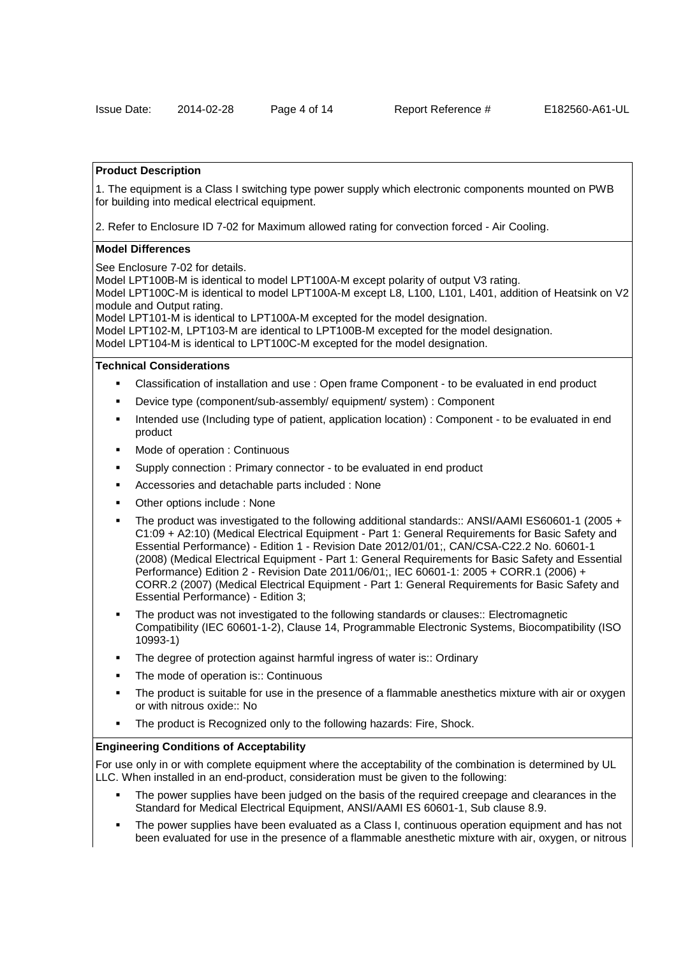### **Product Description**

1. The equipment is a Class I switching type power supply which electronic components mounted on PWB for building into medical electrical equipment.

2. Refer to Enclosure ID 7-02 for Maximum allowed rating for convection forced - Air Cooling.

#### **Model Differences**

See Enclosure 7-02 for details.

Model LPT100B-M is identical to model LPT100A-M except polarity of output V3 rating.

Model LPT100C-M is identical to model LPT100A-M except L8, L100, L101, L401, addition of Heatsink on V2 module and Output rating.

Model LPT101-M is identical to LPT100A-M excepted for the model designation.

Model LPT102-M, LPT103-M are identical to LPT100B-M excepted for the model designation. Model LPT104-M is identical to LPT100C-M excepted for the model designation.

## **Technical Considerations**

- Classification of installation and use : Open frame Component to be evaluated in end product
- Device type (component/sub-assembly/ equipment/ system) : Component
- Intended use (Including type of patient, application location) : Component to be evaluated in end product
- Mode of operation : Continuous
- Supply connection : Primary connector to be evaluated in end product
- Accessories and detachable parts included : None
- Other options include : None
- The product was investigated to the following additional standards:: ANSI/AAMI ES60601-1 (2005 + C1:09 + A2:10) (Medical Electrical Equipment - Part 1: General Requirements for Basic Safety and Essential Performance) - Edition 1 - Revision Date 2012/01/01;, CAN/CSA-C22.2 No. 60601-1 (2008) (Medical Electrical Equipment - Part 1: General Requirements for Basic Safety and Essential Performance) Edition 2 - Revision Date 2011/06/01;, IEC 60601-1: 2005 + CORR.1 (2006) + CORR.2 (2007) (Medical Electrical Equipment - Part 1: General Requirements for Basic Safety and Essential Performance) - Edition 3;
- The product was not investigated to the following standards or clauses:: Electromagnetic Compatibility (IEC 60601-1-2), Clause 14, Programmable Electronic Systems, Biocompatibility (ISO 10993-1)
- The degree of protection against harmful ingress of water is:: Ordinary
- The mode of operation is:: Continuous
- The product is suitable for use in the presence of a flammable anesthetics mixture with air or oxygen or with nitrous oxide:: No
- The product is Recognized only to the following hazards: Fire, Shock.

#### **Engineering Conditions of Acceptability**

For use only in or with complete equipment where the acceptability of the combination is determined by UL LLC. When installed in an end-product, consideration must be given to the following:

- The power supplies have been judged on the basis of the required creepage and clearances in the Standard for Medical Electrical Equipment, ANSI/AAMI ES 60601-1, Sub clause 8.9.
- The power supplies have been evaluated as a Class I, continuous operation equipment and has not been evaluated for use in the presence of a flammable anesthetic mixture with air, oxygen, or nitrous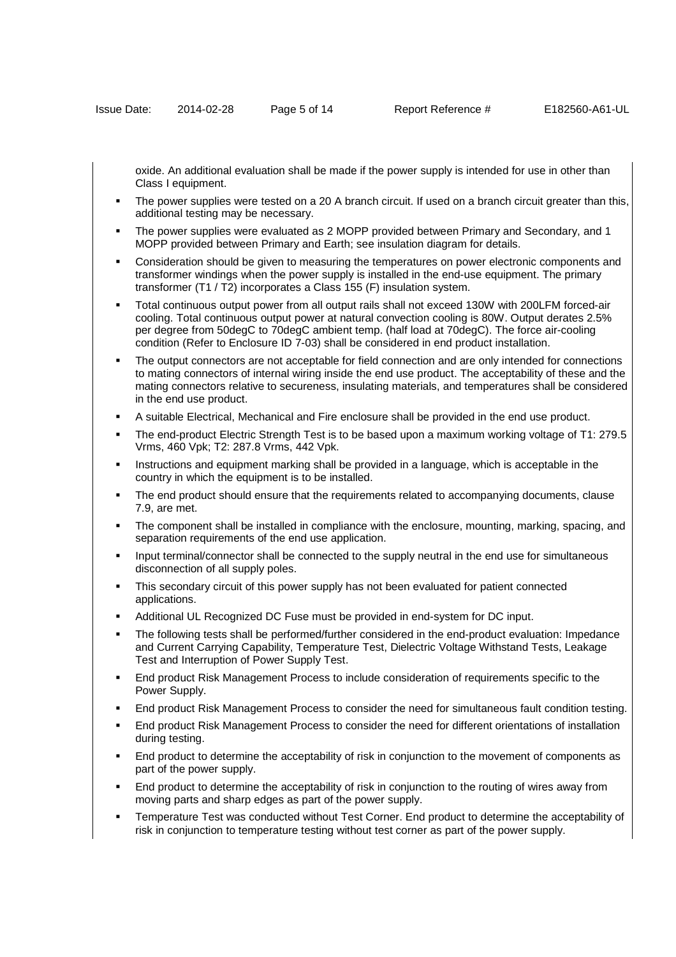oxide. An additional evaluation shall be made if the power supply is intended for use in other than Class I equipment.

- The power supplies were tested on a 20 A branch circuit. If used on a branch circuit greater than this, additional testing may be necessary.
- The power supplies were evaluated as 2 MOPP provided between Primary and Secondary, and 1 MOPP provided between Primary and Earth; see insulation diagram for details.
- Consideration should be given to measuring the temperatures on power electronic components and transformer windings when the power supply is installed in the end-use equipment. The primary transformer (T1 / T2) incorporates a Class 155 (F) insulation system.
- Total continuous output power from all output rails shall not exceed 130W with 200LFM forced-air cooling. Total continuous output power at natural convection cooling is 80W. Output derates 2.5% per degree from 50degC to 70degC ambient temp. (half load at 70degC). The force air-cooling condition (Refer to Enclosure ID 7-03) shall be considered in end product installation.
- The output connectors are not acceptable for field connection and are only intended for connections to mating connectors of internal wiring inside the end use product. The acceptability of these and the mating connectors relative to secureness, insulating materials, and temperatures shall be considered in the end use product.
- A suitable Electrical, Mechanical and Fire enclosure shall be provided in the end use product.
- The end-product Electric Strength Test is to be based upon a maximum working voltage of T1: 279.5 Vrms, 460 Vpk; T2: 287.8 Vrms, 442 Vpk.
- Instructions and equipment marking shall be provided in a language, which is acceptable in the country in which the equipment is to be installed.
- The end product should ensure that the requirements related to accompanying documents, clause 7.9, are met.
- The component shall be installed in compliance with the enclosure, mounting, marking, spacing, and separation requirements of the end use application.
- Input terminal/connector shall be connected to the supply neutral in the end use for simultaneous disconnection of all supply poles.
- This secondary circuit of this power supply has not been evaluated for patient connected applications.
- Additional UL Recognized DC Fuse must be provided in end-system for DC input.
- The following tests shall be performed/further considered in the end-product evaluation: Impedance and Current Carrying Capability, Temperature Test, Dielectric Voltage Withstand Tests, Leakage Test and Interruption of Power Supply Test.
- End product Risk Management Process to include consideration of requirements specific to the Power Supply.
- End product Risk Management Process to consider the need for simultaneous fault condition testing.
- End product Risk Management Process to consider the need for different orientations of installation during testing.
- End product to determine the acceptability of risk in conjunction to the movement of components as part of the power supply.
- End product to determine the acceptability of risk in conjunction to the routing of wires away from moving parts and sharp edges as part of the power supply.
- Temperature Test was conducted without Test Corner. End product to determine the acceptability of risk in conjunction to temperature testing without test corner as part of the power supply.